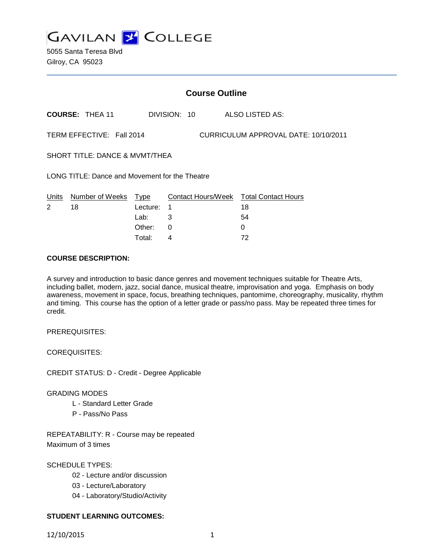

5055 Santa Teresa Blvd Gilroy, CA 95023

|                                                                   | <b>Course Outline</b>      |          |              |  |                                              |  |
|-------------------------------------------------------------------|----------------------------|----------|--------------|--|----------------------------------------------|--|
|                                                                   | <b>COURSE: THEA 11</b>     |          | DIVISION: 10 |  | ALSO LISTED AS:                              |  |
| TERM EFFECTIVE: Fall 2014<br>CURRICULUM APPROVAL DATE: 10/10/2011 |                            |          |              |  |                                              |  |
| SHORT TITLE: DANCE & MVMT/THEA                                    |                            |          |              |  |                                              |  |
| LONG TITLE: Dance and Movement for the Theatre                    |                            |          |              |  |                                              |  |
| Units<br>2                                                        | Number of Weeks Type<br>18 | Lecture: | $\mathbf 1$  |  | Contact Hours/Week Total Contact Hours<br>18 |  |
|                                                                   |                            | Lab:     | 3            |  | 54                                           |  |
|                                                                   |                            | Other:   | 0            |  | 0                                            |  |

Total: 4 72

### **COURSE DESCRIPTION:**

A survey and introduction to basic dance genres and movement techniques suitable for Theatre Arts, including ballet, modern, jazz, social dance, musical theatre, improvisation and yoga. Emphasis on body awareness, movement in space, focus, breathing techniques, pantomime, choreography, musicality, rhythm and timing. This course has the option of a letter grade or pass/no pass. May be repeated three times for credit.

PREREQUISITES:

COREQUISITES:

CREDIT STATUS: D - Credit - Degree Applicable

## GRADING MODES

- L Standard Letter Grade
- P Pass/No Pass

REPEATABILITY: R - Course may be repeated Maximum of 3 times

SCHEDULE TYPES:

- 02 Lecture and/or discussion
- 03 Lecture/Laboratory
- 04 Laboratory/Studio/Activity

# **STUDENT LEARNING OUTCOMES:**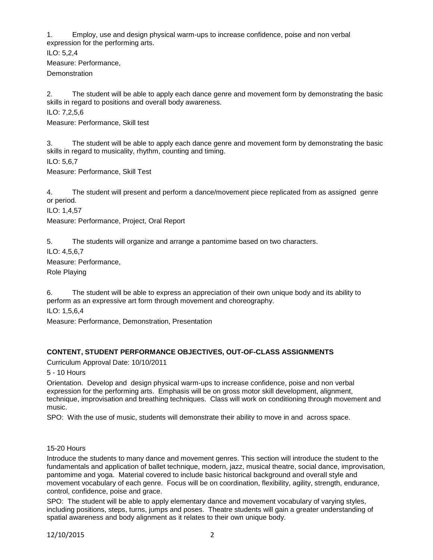1. Employ, use and design physical warm-ups to increase confidence, poise and non verbal expression for the performing arts.

ILO: 5,2,4 Measure: Performance, **Demonstration** 

2. The student will be able to apply each dance genre and movement form by demonstrating the basic skills in regard to positions and overall body awareness.

ILO: 7,2,5,6

Measure: Performance, Skill test

3. The student will be able to apply each dance genre and movement form by demonstrating the basic skills in regard to musicality, rhythm, counting and timing.

ILO: 5,6,7

Measure: Performance, Skill Test

4. The student will present and perform a dance/movement piece replicated from as assigned genre or period.

ILO: 1,4,57

Measure: Performance, Project, Oral Report

5. The students will organize and arrange a pantomime based on two characters.

ILO: 4,5,6,7

Measure: Performance,

Role Playing

6. The student will be able to express an appreciation of their own unique body and its ability to perform as an expressive art form through movement and choreography.

ILO: 1,5,6,4

Measure: Performance, Demonstration, Presentation

## **CONTENT, STUDENT PERFORMANCE OBJECTIVES, OUT-OF-CLASS ASSIGNMENTS**

Curriculum Approval Date: 10/10/2011

5 - 10 Hours

Orientation. Develop and design physical warm-ups to increase confidence, poise and non verbal expression for the performing arts. Emphasis will be on gross motor skill development, alignment, technique, improvisation and breathing techniques. Class will work on conditioning through movement and music.

SPO: With the use of music, students will demonstrate their ability to move in and across space.

#### 15-20 Hours

Introduce the students to many dance and movement genres. This section will introduce the student to the fundamentals and application of ballet technique, modern, jazz, musical theatre, social dance, improvisation, pantomime and yoga. Material covered to include basic historical background and overall style and movement vocabulary of each genre. Focus will be on coordination, flexibility, agility, strength, endurance, control, confidence, poise and grace.

SPO: The student will be able to apply elementary dance and movement vocabulary of varying styles, including positions, steps, turns, jumps and poses. Theatre students will gain a greater understanding of spatial awareness and body alignment as it relates to their own unique body.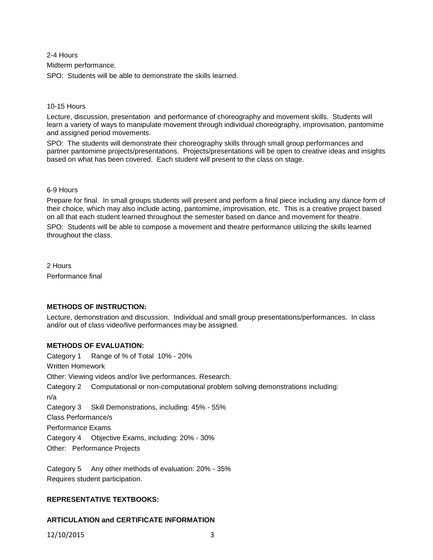2-4 Hours Midterm performance. SPO: Students will be able to demonstrate the skills learned.

#### 10-15 Hours

Lecture, discussion, presentation and performance of choreography and movement skills. Students will learn a variety of ways to manipulate movement through individual choreography, improvisation, pantomime and assigned period movements.

SPO: The students will demonstrate their choreography skills through small group performances and partner pantomime projects/presentations. Projects/presentations will be open to creative ideas and insights based on what has been covered. Each student will present to the class on stage.

### 6-9 Hours

Prepare for final. In small groups students will present and perform a final piece including any dance form of their choice, which may also include acting, pantomime, improvisation, etc. This is a creative project based on all that each student learned throughout the semester based on dance and movement for theatre.

SPO: Students will be able to compose a movement and theatre performance utilizing the skills learned throughout the class.

2 Hours Performance final

## **METHODS OF INSTRUCTION:**

Lecture, demonstration and discussion. Individual and small group presentations/performances. In class and/or out of class video/live performances may be assigned.

## **METHODS OF EVALUATION:**

Category 1 Range of % of Total 10% - 20% Written Homework Other: Viewing videos and/or live performances. Research. Category 2 Computational or non-computational problem solving demonstrations including: n/a Category 3 Skill Demonstrations, including: 45% - 55% Class Performance/s Performance Exams Category 4 Objective Exams, including: 20% - 30% Other: Performance Projects

Category 5 Any other methods of evaluation: 20% - 35% Requires student participation.

## **REPRESENTATIVE TEXTBOOKS:**

# **ARTICULATION and CERTIFICATE INFORMATION**

12/10/2015 3